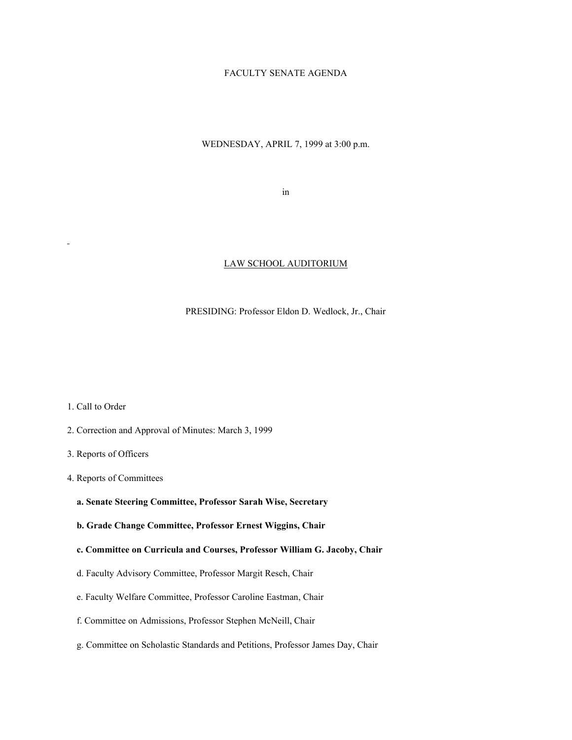## FACULTY SENATE AGENDA

## WEDNESDAY, APRIL 7, 1999 at 3:00 p.m.

in

#### LAW SCHOOL AUDITORIUM

#### PRESIDING: Professor Eldon D. Wedlock, Jr., Chair

1. Call to Order

- 2. Correction and Approval of Minutes: March 3, 1999
- 3. Reports of Officers
- 4. Reports of Committees
	- **a. Senate Steering Committee, Professor Sarah Wise, Secretary**
	- **b. Grade Change Committee, Professor Ernest Wiggins, Chair**
	- **c. Committee on Curricula and Courses, Professor William G. Jacoby, Chair**
	- d. Faculty Advisory Committee, Professor Margit Resch, Chair
	- e. Faculty Welfare Committee, Professor Caroline Eastman, Chair
	- f. Committee on Admissions, Professor Stephen McNeill, Chair
	- g. Committee on Scholastic Standards and Petitions, Professor James Day, Chair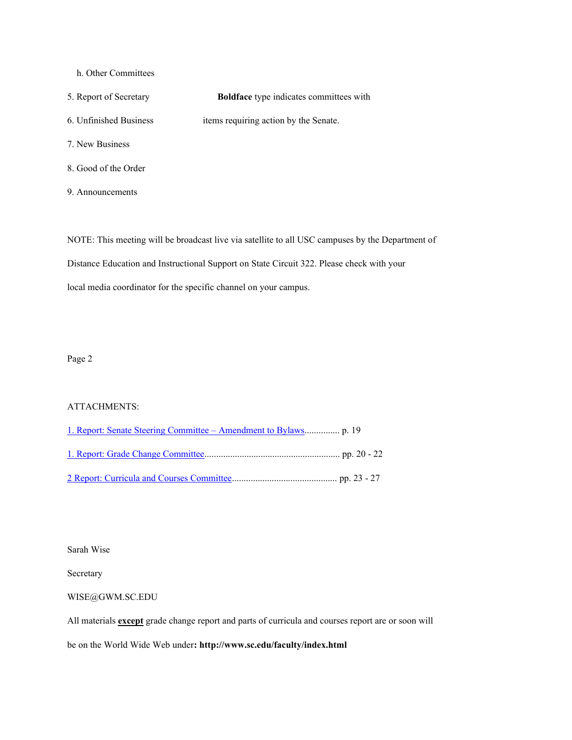- h. Other Committees
- 5. Report of Secretary **Boldface** type indicates committees with 6. Unfinished Business items requiring action by the Senate. 7. New Business
- 8. Good of the Order
- 9. Announcements

NOTE: This meeting will be broadcast live via satellite to all USC campuses by the Department of Distance Education and Instructional Support on State Circuit 322. Please check with your local media coordinator for the specific channel on your campus.

Page 2

### ATTACHMENTS:

Sarah Wise

Secretary

#### WISE@GWM.SC.EDU

All materials **except** grade change report and parts of curricula and courses report are or soon will

be on the World Wide Web under**: http://www.sc.edu/faculty/index.html**